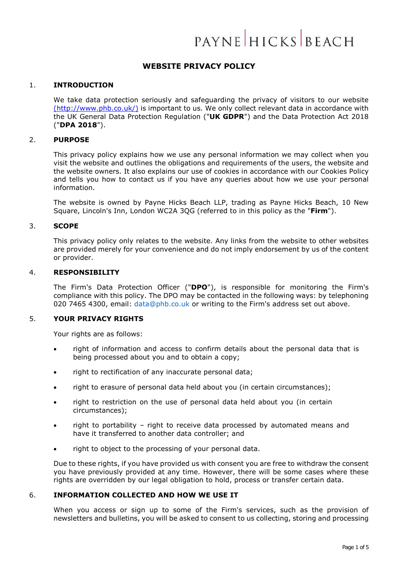# PAYNE HICKS BEACH

# **WEBSITE PRIVACY POLICY**

#### 1. **INTRODUCTION**

We take data protection seriously and safeguarding the privacy of visitors to our website [\(http://www.phb.co.uk/\)](http://www.phb.co.uk/)) is important to us. We only collect relevant data in accordance with the UK General Data Protection Regulation ("**UK GDPR**") and the Data Protection Act 2018 ("**DPA 2018**").

# 2. **PURPOSE**

This privacy policy explains how we use any personal information we may collect when you visit the website and outlines the obligations and requirements of the users, the website and the website owners. It also explains our use of cookies in accordance with our Cookies Policy and tells you how to contact us if you have any queries about how we use your personal information.

The website is owned by Payne Hicks Beach LLP, trading as Payne Hicks Beach, 10 New Square, Lincoln's Inn, London WC2A 3QG (referred to in this policy as the "**Firm**").

# 3. **SCOPE**

This privacy policy only relates to the website. Any links from the website to other websites are provided merely for your convenience and do not imply endorsement by us of the content or provider.

# 4. **RESPONSIBILITY**

The Firm's Data Protection Officer ("**DPO**"), is responsible for monitoring the Firm's compliance with this policy. The DPO may be contacted in the following ways: by telephoning 020 7465 4300, email: [data@phb.co.uk](mailto:data@phb.co.uk) or writing to the Firm's address set out above.

#### 5. **YOUR PRIVACY RIGHTS**

Your rights are as follows:

- right of information and access to confirm details about the personal data that is being processed about you and to obtain a copy;
- right to rectification of any inaccurate personal data;
- right to erasure of personal data held about you (in certain circumstances);
- right to restriction on the use of personal data held about you (in certain circumstances);
- right to portability right to receive data processed by automated means and have it transferred to another data controller; and
- right to object to the processing of your personal data.

Due to these rights, if you have provided us with consent you are free to withdraw the consent you have previously provided at any time. However, there will be some cases where these rights are overridden by our legal obligation to hold, process or transfer certain data.

# 6. **INFORMATION COLLECTED AND HOW WE USE IT**

When you access or sign up to some of the Firm's services, such as the provision of newsletters and bulletins, you will be asked to consent to us collecting, storing and processing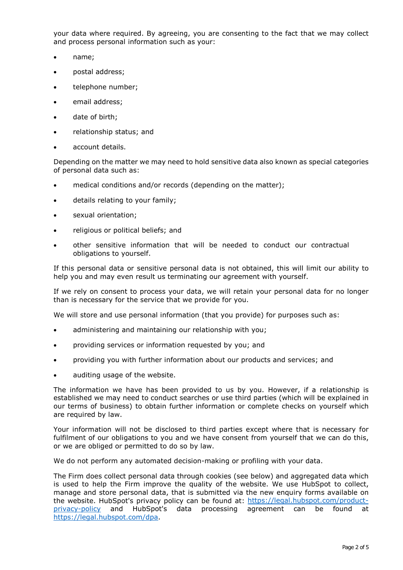your data where required. By agreeing, you are consenting to the fact that we may collect and process personal information such as your:

- name;
- postal address;
- telephone number;
- email address;
- date of birth;
- relationship status; and
- account details.

Depending on the matter we may need to hold sensitive data also known as special categories of personal data such as:

- medical conditions and/or records (depending on the matter);
- details relating to your family;
- sexual orientation;
- religious or political beliefs; and
- other sensitive information that will be needed to conduct our contractual obligations to yourself.

If this personal data or sensitive personal data is not obtained, this will limit our ability to help you and may even result us terminating our agreement with yourself.

If we rely on consent to process your data, we will retain your personal data for no longer than is necessary for the service that we provide for you.

We will store and use personal information (that you provide) for purposes such as:

- administering and maintaining our relationship with you;
- providing services or information requested by you; and
- providing you with further information about our products and services; and
- auditing usage of the website.

The information we have has been provided to us by you. However, if a relationship is established we may need to conduct searches or use third parties (which will be explained in our terms of business) to obtain further information or complete checks on yourself which are required by law.

Your information will not be disclosed to third parties except where that is necessary for fulfilment of our obligations to you and we have consent from yourself that we can do this, or we are obliged or permitted to do so by law.

We do not perform any automated decision-making or profiling with your data.

The Firm does collect personal data through cookies (see below) and aggregated data which is used to help the Firm improve the quality of the website. We use HubSpot to collect, manage and store personal data, that is submitted via the new enquiry forms available on the website. HubSpot's privacy policy can be found at: [https://legal.hubspot.com/product](https://legal.hubspot.com/product-privacy-policy)[privacy-policy](https://legal.hubspot.com/product-privacy-policy) and HubSpot's data processing agreement can be found at [https://legal.hubspot.com/dpa.](https://legal.hubspot.com/dpa)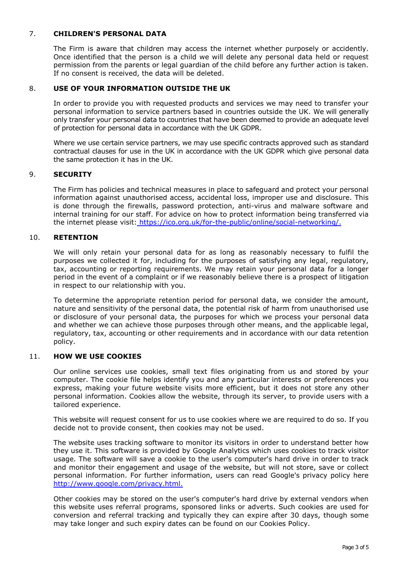# 7. **CHILDREN'S PERSONAL DATA**

The Firm is aware that children may access the internet whether purposely or accidently. Once identified that the person is a child we will delete any personal data held or request permission from the parents or legal guardian of the child before any further action is taken. If no consent is received, the data will be deleted.

#### 8. **USE OF YOUR INFORMATION OUTSIDE THE UK**

In order to provide you with requested products and services we may need to transfer your personal information to service partners based in countries outside the UK. We will generally only transfer your personal data to countries that have been deemed to provide an adequate level of protection for personal data in accordance with the UK GDPR.

Where we use certain service partners, we may use specific contracts approved such as standard contractual clauses for use in the UK in accordance with the UK GDPR which give personal data the same protection it has in the UK.

#### 9. **SECURITY**

The Firm has policies and technical measures in place to safeguard and protect your personal information against unauthorised access, accidental loss, improper use and disclosure. This is done through the firewalls, password protection, anti-virus and malware software and internal training for our staff. For advice on how to protect information being transferred via the internet please visit: [https://ico.org.uk/for-the-public/online/social-networking/.](https://ico.org.uk/for-the-public/online/social-networking/)

#### 10. **RETENTION**

We will only retain your personal data for as long as reasonably necessary to fulfil the purposes we collected it for, including for the purposes of satisfying any legal, regulatory, tax, accounting or reporting requirements. We may retain your personal data for a longer period in the event of a complaint or if we reasonably believe there is a prospect of litigation in respect to our relationship with you.

To determine the appropriate retention period for personal data, we consider the amount, nature and sensitivity of the personal data, the potential risk of harm from unauthorised use or disclosure of your personal data, the purposes for which we process your personal data and whether we can achieve those purposes through other means, and the applicable legal, regulatory, tax, accounting or other requirements and in accordance with our data retention policy.

#### 11. **HOW WE USE COOKIES**

Our online services use cookies, small text files originating from us and stored by your computer. The cookie file helps identify you and any particular interests or preferences you express, making your future website visits more efficient, but it does not store any other personal information. Cookies allow the website, through its server, to provide users with a tailored experience.

This website will request consent for us to use cookies where we are required to do so. If you decide not to provide consent, then cookies may not be used.

The website uses tracking software to monitor its visitors in order to understand better how they use it. This software is provided by Google Analytics which uses cookies to track visitor usage. The software will save a cookie to the user's computer's hard drive in order to track and monitor their engagement and usage of the website, but will not store, save or collect personal information. For further information, users can read Google's privacy policy here <http://www.google.com/privacy.html.>

Other cookies may be stored on the user's computer's hard drive by external vendors when this website uses referral programs, sponsored links or adverts. Such cookies are used for conversion and referral tracking and typically they can expire after 30 days, though some may take longer and such expiry dates can be found on our Cookies Policy.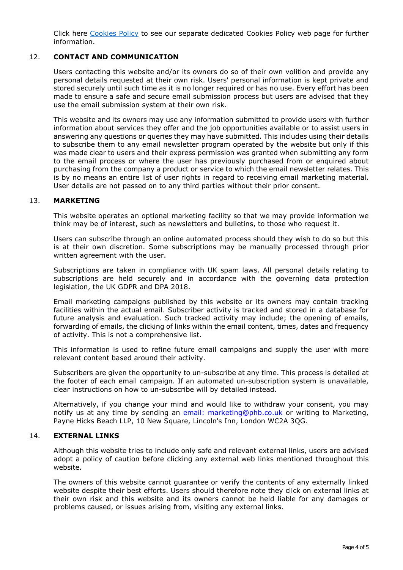Click here [Cookies Policy](https://www.phb.co.uk/docs/general/CookiesPolicyLLP09February2022.pdf) to see our separate dedicated Cookies Policy web page for further information.

# 12. **CONTACT AND COMMUNICATION**

Users contacting this website and/or its owners do so of their own volition and provide any personal details requested at their own risk. Users' personal information is kept private and stored securely until such time as it is no longer required or has no use. Every effort has been made to ensure a safe and secure email submission process but users are advised that they use the email submission system at their own risk.

This website and its owners may use any information submitted to provide users with further information about services they offer and the job opportunities available or to assist users in answering any questions or queries they may have submitted. This includes using their details to subscribe them to any email newsletter program operated by the website but only if this was made clear to users and their express permission was granted when submitting any form to the email process or where the user has previously purchased from or enquired about purchasing from the company a product or service to which the email newsletter relates. This is by no means an entire list of user rights in regard to receiving email marketing material. User details are not passed on to any third parties without their prior consent.

# 13. **MARKETING**

This website operates an optional marketing facility so that we may provide information we think may be of interest, such as newsletters and bulletins, to those who request it.

Users can subscribe through an online automated process should they wish to do so but this is at their own discretion. Some subscriptions may be manually processed through prior written agreement with the user.

Subscriptions are taken in compliance with UK spam laws. All personal details relating to subscriptions are held securely and in accordance with the governing data protection legislation, the UK GDPR and DPA 2018.

Email marketing campaigns published by this website or its owners may contain tracking facilities within the actual email. Subscriber activity is tracked and stored in a database for future analysis and evaluation. Such tracked activity may include; the opening of emails, forwarding of emails, the clicking of links within the email content, times, dates and frequency of activity. This is not a comprehensive list.

This information is used to refine future email campaigns and supply the user with more relevant content based around their activity.

Subscribers are given the opportunity to un-subscribe at any time. This process is detailed at the footer of each email campaign. If an automated un-subscription system is unavailable, clear instructions on how to un-subscribe will by detailed instead.

Alternatively, if you change your mind and would like to withdraw your consent, you may notify us at any time by sending an [email:](mailto:e-mail_to_marketing@phb.co.uk) marketing@phb.co.uk or writing to Marketing, Payne Hicks Beach LLP, 10 New Square, Lincoln's Inn, London WC2A 3QG.

#### 14. **EXTERNAL LINKS**

Although this website tries to include only safe and relevant external links, users are advised adopt a policy of caution before clicking any external web links mentioned throughout this website.

The owners of this website cannot guarantee or verify the contents of any externally linked website despite their best efforts. Users should therefore note they click on external links at their own risk and this website and its owners cannot be held liable for any damages or problems caused, or issues arising from, visiting any external links.